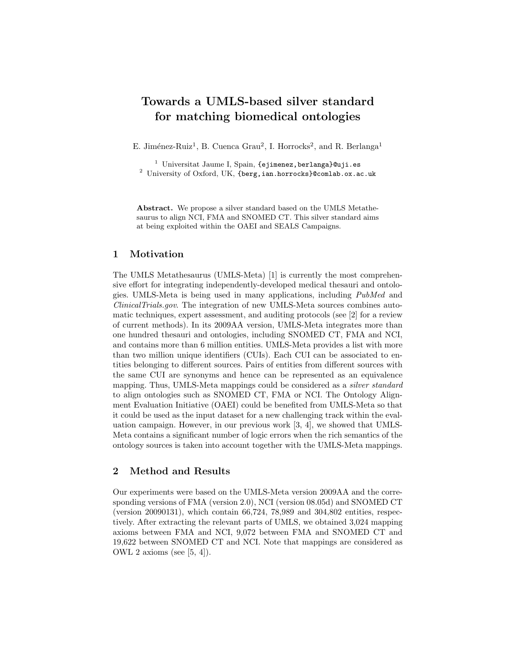# Towards a UMLS-based silver standard for matching biomedical ontologies

E. Jiménez-Ruiz<sup>1</sup>, B. Cuenca Grau<sup>2</sup>, I. Horrocks<sup>2</sup>, and R. Berlanga<sup>1</sup>

 $1$  Universitat Jaume I, Spain, {ejimenez, berlanga}@uji.es <sup>2</sup> University of Oxford, UK, {berg,ian.horrocks}@comlab.ox.ac.uk

Abstract. We propose a silver standard based on the UMLS Metathesaurus to align NCI, FMA and SNOMED CT. This silver standard aims at being exploited within the OAEI and SEALS Campaigns.

## 1 Motivation

The UMLS Metathesaurus (UMLS-Meta) [1] is currently the most comprehensive effort for integrating independently-developed medical thesauri and ontologies. UMLS-Meta is being used in many applications, including PubMed and ClinicalTrials.gov. The integration of new UMLS-Meta sources combines automatic techniques, expert assessment, and auditing protocols (see [2] for a review of current methods). In its 2009AA version, UMLS-Meta integrates more than one hundred thesauri and ontologies, including SNOMED CT, FMA and NCI, and contains more than 6 million entities. UMLS-Meta provides a list with more than two million unique identifiers (CUIs). Each CUI can be associated to entities belonging to different sources. Pairs of entities from different sources with the same CUI are synonyms and hence can be represented as an equivalence mapping. Thus, UMLS-Meta mappings could be considered as a silver standard to align ontologies such as SNOMED CT, FMA or NCI. The Ontology Alignment Evaluation Initiative (OAEI) could be benefited from UMLS-Meta so that it could be used as the input dataset for a new challenging track within the evaluation campaign. However, in our previous work [3, 4], we showed that UMLS-Meta contains a significant number of logic errors when the rich semantics of the ontology sources is taken into account together with the UMLS-Meta mappings.

## 2 Method and Results

Our experiments were based on the UMLS-Meta version 2009AA and the corresponding versions of FMA (version 2.0), NCI (version 08.05d) and SNOMED CT (version 20090131), which contain 66,724, 78,989 and 304,802 entities, respectively. After extracting the relevant parts of UMLS, we obtained 3,024 mapping axioms between FMA and NCI, 9,072 between FMA and SNOMED CT and 19,622 between SNOMED CT and NCI. Note that mappings are considered as OWL 2 axioms (see [5, 4]).